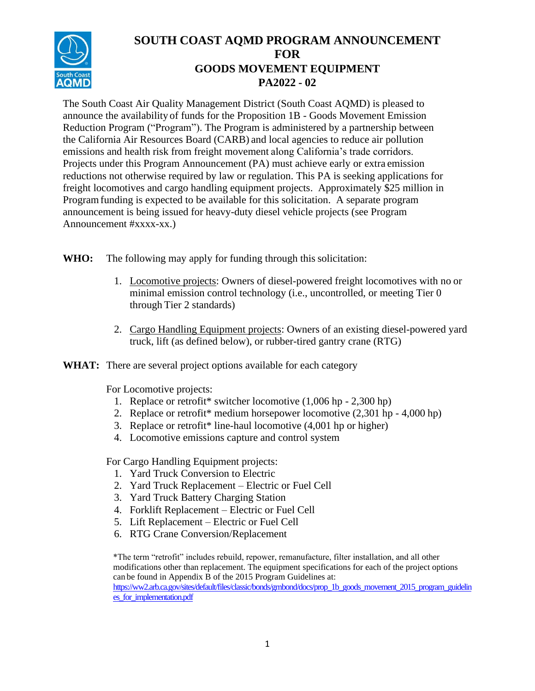

The South Coast Air Quality Management District (South Coast AQMD) is pleased to announce the availability of funds for the Proposition 1B - Goods Movement Emission Reduction Program ("Program"). The Program is administered by a partnership between the California Air Resources Board (CARB) and local agencies to reduce air pollution emissions and health risk from freight movement along California's trade corridors. Projects under this Program Announcement (PA) must achieve early or extra emission reductions not otherwise required by law or regulation. This PA is seeking applications for freight locomotives and cargo handling equipment projects. Approximately \$25 million in Programfunding is expected to be available for this solicitation. A separate program announcement is being issued for heavy-duty diesel vehicle projects (see Program Announcement #xxxx-xx.)

**WHO:** The following may apply for funding through this solicitation:

- 1. Locomotive projects: Owners of diesel-powered freight locomotives with no or minimal emission control technology (i.e., uncontrolled, or meeting Tier 0 through Tier 2 standards)
- 2. Cargo Handling Equipment projects: Owners of an existing diesel-powered yard truck, lift (as defined below), or rubber-tired gantry crane (RTG)

#### **WHAT:** There are several project options available for each category

For Locomotive projects:

- 1. Replace or retrofit\* switcher locomotive (1,006 hp 2,300 hp)
- 2. Replace or retrofit\* medium horsepower locomotive (2,301 hp 4,000 hp)
- 3. Replace or retrofit\* line-haul locomotive (4,001 hp or higher)
- 4. Locomotive emissions capture and control system

For Cargo Handling Equipment projects:

- 1. Yard Truck Conversion to Electric
- 2. Yard Truck Replacement Electric or Fuel Cell
- 3. Yard Truck Battery Charging Station
- 4. Forklift Replacement Electric or Fuel Cell
- 5. Lift Replacement Electric or Fuel Cell
- 6. RTG Crane Conversion/Replacement

\*The term "retrofit" includes rebuild, repower, remanufacture, filter installation, and all other modifications other than replacement. The equipment specifications for each of the project options can be found in Appendix B of the 2015 Program Guidelines at: [https://ww2.arb.ca.gov/sites/default/files/classic/bonds/gmbond/docs/prop\\_1b\\_goods\\_movement\\_2015\\_program\\_guidelin](https://ww2.arb.ca.gov/sites/default/files/classic/bonds/gmbond/docs/prop_1b_goods_movement_2015_program_guidelines_for_implementation.pdf) [es\\_for\\_implementation.pdf](https://ww2.arb.ca.gov/sites/default/files/classic/bonds/gmbond/docs/prop_1b_goods_movement_2015_program_guidelines_for_implementation.pdf)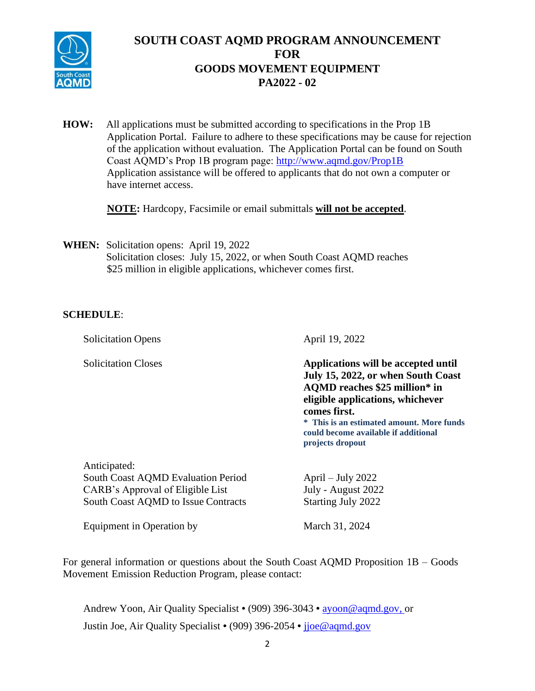

**HOW:** All applications must be submitted according to specifications in the Prop 1B Application Portal. Failure to adhere to these specifications may be cause for rejection of the application without evaluation. The Application Portal can be found on South Coast AQMD's Prop 1B program page:<http://www.aqmd.gov/Prop1B> Application assistance will be offered to applicants that do not own a computer or have internet access.

**NOTE:** Hardcopy, Facsimile or email submittals **will not be accepted**.

**WHEN:** Solicitation opens: April 19, 2022 Solicitation closes: July 15, 2022, or when South Coast AQMD reaches \$25 million in eligible applications, whichever comes first.

## **SCHEDULE**:

| <b>Solicitation Opens</b>                                                              | April 19, 2022                                                                                                                                                                                                                                                                 |
|----------------------------------------------------------------------------------------|--------------------------------------------------------------------------------------------------------------------------------------------------------------------------------------------------------------------------------------------------------------------------------|
| <b>Solicitation Closes</b>                                                             | Applications will be accepted until<br>July 15, 2022, or when South Coast<br><b>AQMD</b> reaches \$25 million* in<br>eligible applications, whichever<br>comes first.<br>* This is an estimated amount. More funds<br>could become available if additional<br>projects dropout |
| Anticipated:<br>South Coast AQMD Evaluation Period<br>CARB's Approval of Eligible List | April – July 2022<br>July - August 2022                                                                                                                                                                                                                                        |

Equipment in Operation by March 31, 2024

For general information or questions about the South Coast AQMD Proposition 1B – Goods Movement Emission Reduction Program, please contact:

Andrew Yoon, Air Quality Specialist  $\cdot$  (909) 396-3043  $\cdot$  [ayoon@aqmd.gov,](mailto:ayoon@aqmd.gov) or Justin Joe, Air Quality Specialist • (909) 396-2054 • [jjoe@aqmd.gov](mailto:fxu@aqmd.gov)

South Coast AQMD to Issue Contracts Starting July 2022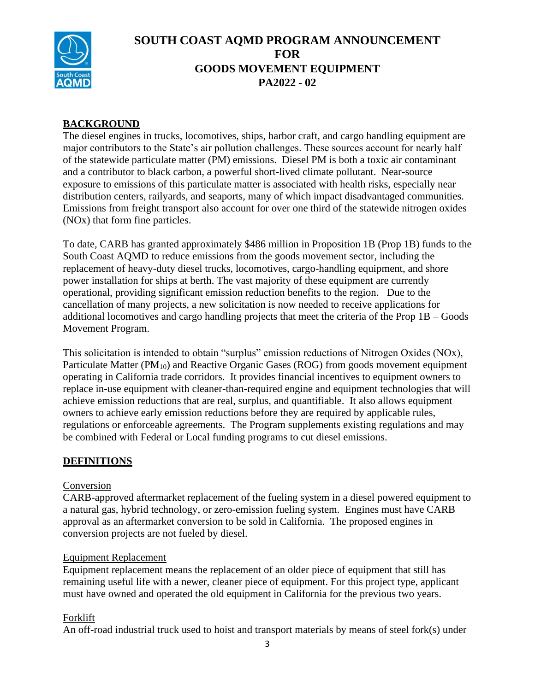

# **BACKGROUND**

The diesel engines in trucks, locomotives, ships, harbor craft, and cargo handling equipment are major contributors to the State's air pollution challenges. These sources account for nearly half of the statewide particulate matter (PM) emissions. Diesel PM is both a toxic air contaminant and a contributor to black carbon, a powerful short-lived climate pollutant. Near-source exposure to emissions of this particulate matter is associated with health risks, especially near distribution centers, railyards, and seaports, many of which impact disadvantaged communities. Emissions from freight transport also account for over one third of the statewide nitrogen oxides (NOx) that form fine particles.

To date, CARB has granted approximately \$486 million in Proposition 1B (Prop 1B) funds to the South Coast AQMD to reduce emissions from the goods movement sector, including the replacement of heavy-duty diesel trucks, locomotives, cargo-handling equipment, and shore power installation for ships at berth. The vast majority of these equipment are currently operational, providing significant emission reduction benefits to the region. Due to the cancellation of many projects, a new solicitation is now needed to receive applications for additional locomotives and cargo handling projects that meet the criteria of the Prop 1B – Goods Movement Program.

This solicitation is intended to obtain "surplus" emission reductions of Nitrogen Oxides (NOx), Particulate Matter (PM<sub>10</sub>) and Reactive Organic Gases (ROG) from goods movement equipment operating in California trade corridors. It provides financial incentives to equipment owners to replace in-use equipment with cleaner-than-required engine and equipment technologies that will achieve emission reductions that are real, surplus, and quantifiable. It also allows equipment owners to achieve early emission reductions before they are required by applicable rules, regulations or enforceable agreements. The Program supplements existing regulations and may be combined with Federal or Local funding programs to cut diesel emissions.

#### **DEFINITIONS**

#### Conversion

CARB-approved aftermarket replacement of the fueling system in a diesel powered equipment to a natural gas, hybrid technology, or zero-emission fueling system. Engines must have CARB approval as an aftermarket conversion to be sold in California. The proposed engines in conversion projects are not fueled by diesel.

#### Equipment Replacement

Equipment replacement means the replacement of an older piece of equipment that still has remaining useful life with a newer, cleaner piece of equipment. For this project type, applicant must have owned and operated the old equipment in California for the previous two years.

#### Forklift

An off-road industrial truck used to hoist and transport materials by means of steel fork(s) under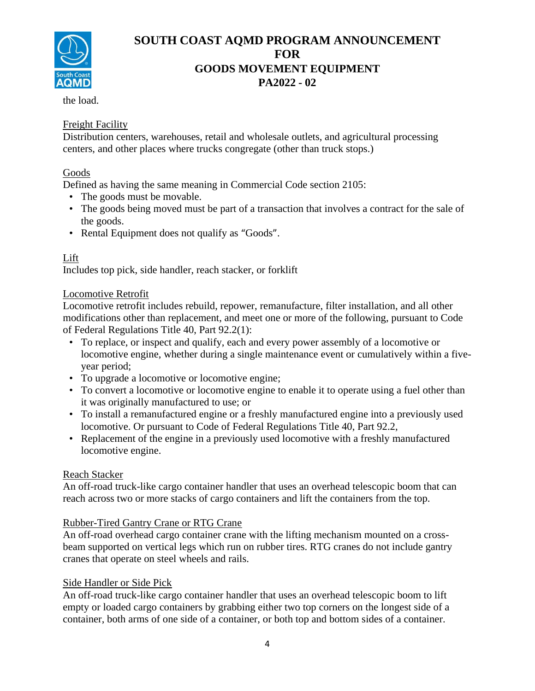

the load.

## Freight Facility

Distribution centers, warehouses, retail and wholesale outlets, and agricultural processing centers, and other places where trucks congregate (other than truck stops.)

# Goods

Defined as having the same meaning in Commercial Code section 2105:

- The goods must be movable.
- The goods being moved must be part of a transaction that involves a contract for the sale of the goods.
- Rental Equipment does not qualify as "Goods".

## Lift

Includes top pick, side handler, reach stacker, or forklift

#### Locomotive Retrofit

Locomotive retrofit includes rebuild, repower, remanufacture, filter installation, and all other modifications other than replacement, and meet one or more of the following, pursuant to Code of Federal Regulations Title 40, Part 92.2(1):

- To replace, or inspect and qualify, each and every power assembly of a locomotive or locomotive engine, whether during a single maintenance event or cumulatively within a fiveyear period;
- To upgrade a locomotive or locomotive engine;
- To convert a locomotive or locomotive engine to enable it to operate using a fuel other than it was originally manufactured to use; or
- To install a remanufactured engine or a freshly manufactured engine into a previously used locomotive. Or pursuant to Code of Federal Regulations Title 40, Part 92.2,
- Replacement of the engine in a previously used locomotive with a freshly manufactured locomotive engine.

# Reach Stacker

An off-road truck-like cargo container handler that uses an overhead telescopic boom that can reach across two or more stacks of cargo containers and lift the containers from the top.

# Rubber-Tired Gantry Crane or RTG Crane

An off-road overhead cargo container crane with the lifting mechanism mounted on a crossbeam supported on vertical legs which run on rubber tires. RTG cranes do not include gantry cranes that operate on steel wheels and rails.

#### Side Handler or Side Pick

An off-road truck-like cargo container handler that uses an overhead telescopic boom to lift empty or loaded cargo containers by grabbing either two top corners on the longest side of a container, both arms of one side of a container, or both top and bottom sides of a container.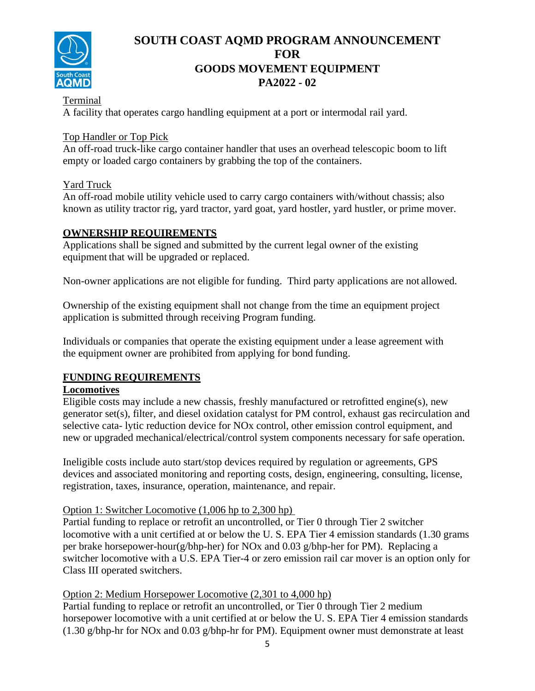

## Terminal

A facility that operates cargo handling equipment at a port or intermodal rail yard.

#### Top Handler or Top Pick

An off-road truck-like cargo container handler that uses an overhead telescopic boom to lift empty or loaded cargo containers by grabbing the top of the containers.

## Yard Truck

An off-road mobile utility vehicle used to carry cargo containers with/without chassis; also known as utility tractor rig, yard tractor, yard goat, yard hostler, yard hustler, or prime mover.

# **OWNERSHIP REQUIREMENTS**

Applications shall be signed and submitted by the current legal owner of the existing equipment that will be upgraded or replaced.

Non-owner applications are not eligible for funding. Third party applications are not allowed.

Ownership of the existing equipment shall not change from the time an equipment project application is submitted through receiving Program funding.

Individuals or companies that operate the existing equipment under a lease agreement with the equipment owner are prohibited from applying for bond funding.

# **FUNDING REQUIREMENTS**

#### **Locomotives**

Eligible costs may include a new chassis, freshly manufactured or retrofitted engine(s), new generator set(s), filter, and diesel oxidation catalyst for PM control, exhaust gas recirculation and selective cata- lytic reduction device for NOx control, other emission control equipment, and new or upgraded mechanical/electrical/control system components necessary for safe operation.

Ineligible costs include auto start/stop devices required by regulation or agreements, GPS devices and associated monitoring and reporting costs, design, engineering, consulting, license, registration, taxes, insurance, operation, maintenance, and repair.

Option 1: Switcher Locomotive (1,006 hp to 2,300 hp)

Partial funding to replace or retrofit an uncontrolled, or Tier 0 through Tier 2 switcher locomotive with a unit certified at or below the U.S. EPA Tier 4 emission standards (1.30 grams per brake horsepower-hour(g/bhp-her) for NOx and 0.03 g/bhp-her for PM). Replacing a switcher locomotive with a U.S. EPA Tier-4 or zero emission rail car mover is an option only for Class III operated switchers.

# Option 2: Medium Horsepower Locomotive (2,301 to 4,000 hp)

Partial funding to replace or retrofit an uncontrolled, or Tier 0 through Tier 2 medium horsepower locomotive with a unit certified at or below the U.S. EPA Tier 4 emission standards (1.30 g/bhp-hr for NOx and 0.03 g/bhp-hr for PM). Equipment owner must demonstrate at least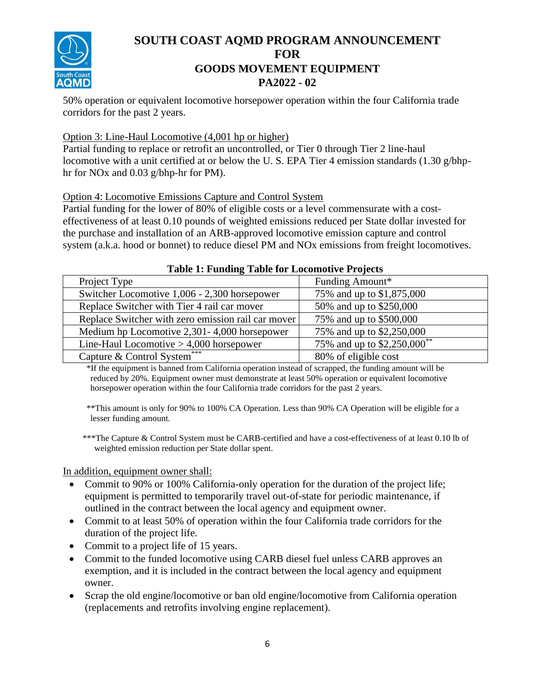

50% operation or equivalent locomotive horsepower operation within the four California trade corridors for the past 2 years.

#### Option 3: Line-Haul Locomotive (4,001 hp or higher)

Partial funding to replace or retrofit an uncontrolled, or Tier 0 through Tier 2 line-haul locomotive with a unit certified at or below the U.S. EPA Tier 4 emission standards (1.30 g/bhphr for NOx and 0.03 g/bhp-hr for PM).

#### Option 4: Locomotive Emissions Capture and Control System

Partial funding for the lower of 80% of eligible costs or a level commensurate with a costeffectiveness of at least 0.10 pounds of weighted emissions reduced per State dollar invested for the purchase and installation of an ARB-approved locomotive emission capture and control system (a.k.a. hood or bonnet) to reduce diesel PM and NOx emissions from freight locomotives.

| Table 1: Funding Table for Locomotive Frojects     |                                         |  |  |
|----------------------------------------------------|-----------------------------------------|--|--|
| Project Type                                       | Funding Amount*                         |  |  |
| Switcher Locomotive 1,006 - 2,300 horsepower       | 75% and up to \$1,875,000               |  |  |
| Replace Switcher with Tier 4 rail car mover        | 50% and up to \$250,000                 |  |  |
| Replace Switcher with zero emission rail car mover | 75% and up to \$500,000                 |  |  |
| Medium hp Locomotive 2,301-4,000 horsepower        | 75% and up to \$2,250,000               |  |  |
| Line-Haul Locomotive $> 4,000$ horsepower          | 75% and up to \$2,250,000 <sup>**</sup> |  |  |
| Capture & Control System***                        | 80% of eligible cost                    |  |  |

# **Table 1: Funding Table for Locomotive Projects**

\*If the equipment is banned from California operation instead of scrapped, the funding amount will be reduced by 20%. Equipment owner must demonstrate at least 50% operation or equivalent locomotive horsepower operation within the four California trade corridors for the past 2 years.

\*\*This amount is only for 90% to 100% CA Operation. Less than 90% CA Operation will be eligible for a lesser funding amount.

\*\*\*The Capture & Control System must be CARB-certified and have a cost-effectiveness of at least 0.10 lb of weighted emission reduction per State dollar spent.

In addition, equipment owner shall:

- Commit to 90% or 100% California-only operation for the duration of the project life; equipment is permitted to temporarily travel out-of-state for periodic maintenance, if outlined in the contract between the local agency and equipment owner.
- Commit to at least 50% of operation within the four California trade corridors for the duration of the project life.
- Commit to a project life of 15 years.
- Commit to the funded locomotive using CARB diesel fuel unless CARB approves an exemption, and it is included in the contract between the local agency and equipment owner.
- Scrap the old engine/locomotive or ban old engine/locomotive from California operation (replacements and retrofits involving engine replacement).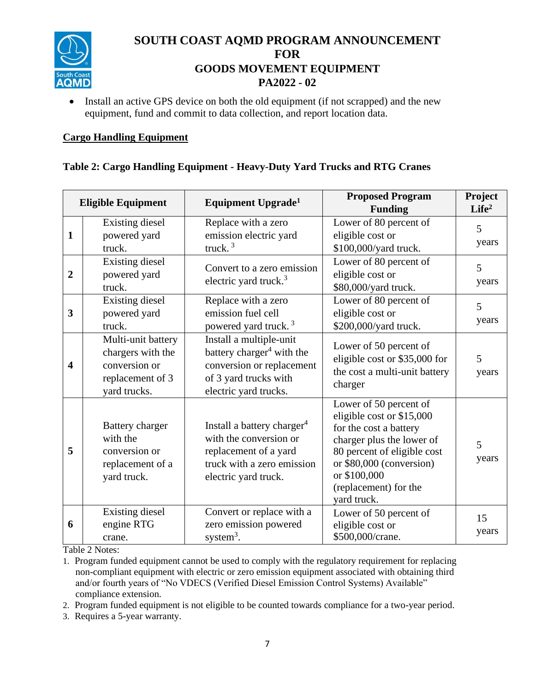

• Install an active GPS device on both the old equipment (if not scrapped) and the new equipment, fund and commit to data collection, and report location data.

#### **Cargo Handling Equipment**

#### **Table 2: Cargo Handling Equipment - Heavy-Duty Yard Trucks and RTG Cranes**

|                         | <b>Equipment Upgrade</b> <sup>1</sup><br><b>Eligible Equipment</b>                           |                                                                                                                                                 | <b>Proposed Program</b><br><b>Funding</b>                                                                                                                                                                                     | Project<br>Life <sup>2</sup> |
|-------------------------|----------------------------------------------------------------------------------------------|-------------------------------------------------------------------------------------------------------------------------------------------------|-------------------------------------------------------------------------------------------------------------------------------------------------------------------------------------------------------------------------------|------------------------------|
| $\mathbf{1}$            | <b>Existing diesel</b><br>powered yard<br>truck.                                             | Replace with a zero<br>emission electric yard<br>truck. <sup>3</sup>                                                                            | Lower of 80 percent of<br>eligible cost or<br>\$100,000/yard truck.                                                                                                                                                           | 5<br>years                   |
| $\overline{2}$          | <b>Existing diesel</b><br>powered yard<br>truck.                                             | Convert to a zero emission<br>electric yard truck. <sup>3</sup>                                                                                 | Lower of 80 percent of<br>eligible cost or<br>\$80,000/yard truck.                                                                                                                                                            | 5<br>years                   |
| 3                       | <b>Existing diesel</b><br>powered yard<br>truck.                                             | Replace with a zero<br>emission fuel cell<br>powered yard truck. <sup>3</sup>                                                                   | Lower of 80 percent of<br>eligible cost or<br>\$200,000/yard truck.                                                                                                                                                           | 5<br>years                   |
| $\overline{\mathbf{4}}$ | Multi-unit battery<br>chargers with the<br>conversion or<br>replacement of 3<br>yard trucks. | Install a multiple-unit<br>battery charger <sup>4</sup> with the<br>conversion or replacement<br>of 3 yard trucks with<br>electric yard trucks. | Lower of 50 percent of<br>eligible cost or \$35,000 for<br>the cost a multi-unit battery<br>charger                                                                                                                           | 5<br>years                   |
| 5                       | <b>Battery charger</b><br>with the<br>conversion or<br>replacement of a<br>yard truck.       | Install a battery charger <sup>4</sup><br>with the conversion or<br>replacement of a yard<br>truck with a zero emission<br>electric yard truck. | Lower of 50 percent of<br>eligible cost or \$15,000<br>for the cost a battery<br>charger plus the lower of<br>80 percent of eligible cost<br>or \$80,000 (conversion)<br>or \$100,000<br>(replacement) for the<br>vard truck. | 5<br>years                   |
| 6                       | <b>Existing diesel</b><br>engine RTG<br>crane.                                               | Convert or replace with a<br>zero emission powered<br>system $3$ .                                                                              | Lower of 50 percent of<br>eligible cost or<br>\$500,000/crane.                                                                                                                                                                | 15<br>years                  |

Table 2 Notes:

- 2. Program funded equipment is not eligible to be counted towards compliance for a two-year period.
- 3. Requires a 5-year warranty.

<sup>1.</sup> Program funded equipment cannot be used to comply with the regulatory requirement for replacing non-compliant equipment with electric or zero emission equipment associated with obtaining third and/or fourth years of "No VDECS (Verified Diesel Emission Control Systems) Available" compliance extension.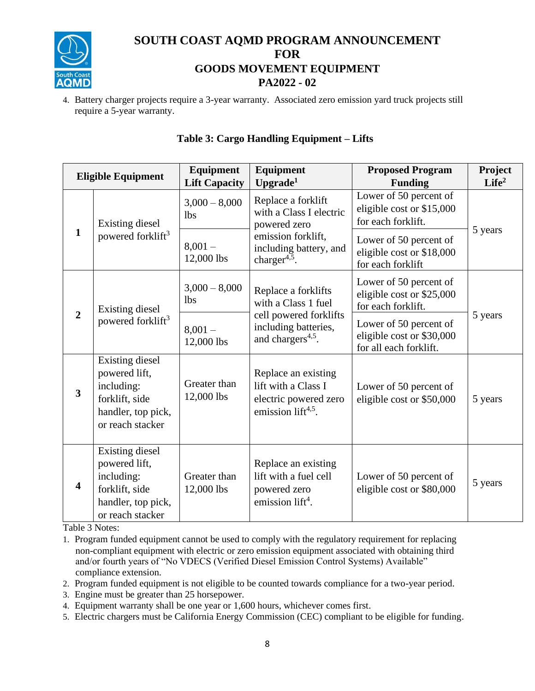

**PA2022 - 02**

4. Battery charger projects require a 3-year warranty. Associated zero emission yard truck projects still require a 5-year warranty.

|                         | <b>Eligible Equipment</b>                                                                                         | Equipment<br><b>Lift Capacity</b> | Equipment<br>Upgrade <sup>1</sup>                                                                                                         | <b>Proposed Program</b><br><b>Funding</b>                                     | Project<br>Life <sup>2</sup> |
|-------------------------|-------------------------------------------------------------------------------------------------------------------|-----------------------------------|-------------------------------------------------------------------------------------------------------------------------------------------|-------------------------------------------------------------------------------|------------------------------|
| $\mathbf{1}$            | <b>Existing diesel</b><br>powered forklift <sup>3</sup>                                                           | $3,000 - 8,000$<br><b>lbs</b>     | Replace a forklift<br>with a Class I electric<br>powered zero<br>emission forklift,<br>including battery, and<br>charger <sup>4,5</sup> . | Lower of 50 percent of<br>eligible cost or \$15,000<br>for each forklift.     |                              |
|                         |                                                                                                                   | $8,001 -$<br>12,000 lbs           |                                                                                                                                           | Lower of 50 percent of<br>eligible cost or \$18,000<br>for each forklift      | 5 years                      |
|                         | <b>Existing diesel</b>                                                                                            | $3,000 - 8,000$<br><b>lbs</b>     | Replace a forklifts<br>with a Class 1 fuel<br>cell powered forklifts<br>including batteries,<br>and chargers <sup>4,5</sup> .             | Lower of 50 percent of<br>eligible cost or \$25,000<br>for each forklift.     | 5 years                      |
| $\overline{2}$          | powered forklift <sup>3</sup>                                                                                     | $8,001 -$<br>12,000 lbs           |                                                                                                                                           | Lower of 50 percent of<br>eligible cost or \$30,000<br>for all each forklift. |                              |
| $\overline{\mathbf{3}}$ | <b>Existing diesel</b><br>powered lift,<br>including:<br>forklift, side<br>handler, top pick,<br>or reach stacker | Greater than<br>12,000 lbs        | Replace an existing<br>lift with a Class I<br>electric powered zero<br>emission lift <sup>4,5</sup> .                                     | Lower of 50 percent of<br>eligible cost or \$50,000                           | 5 years                      |
| $\overline{\mathbf{4}}$ | <b>Existing diesel</b><br>powered lift,<br>including:<br>forklift, side<br>handler, top pick,<br>or reach stacker | Greater than<br>12,000 lbs        | Replace an existing<br>lift with a fuel cell<br>powered zero<br>emission lift <sup>4</sup> .                                              | Lower of 50 percent of<br>eligible cost or \$80,000                           | 5 years                      |

#### **Table 3: Cargo Handling Equipment – Lifts**

Table 3 Notes:

- 1. Program funded equipment cannot be used to comply with the regulatory requirement for replacing non-compliant equipment with electric or zero emission equipment associated with obtaining third and/or fourth years of "No VDECS (Verified Diesel Emission Control Systems) Available" compliance extension.
- 2. Program funded equipment is not eligible to be counted towards compliance for a two-year period.
- 3. Engine must be greater than 25 horsepower.
- 4. Equipment warranty shall be one year or 1,600 hours, whichever comes first.
- 5. Electric chargers must be California Energy Commission (CEC) compliant to be eligible for funding.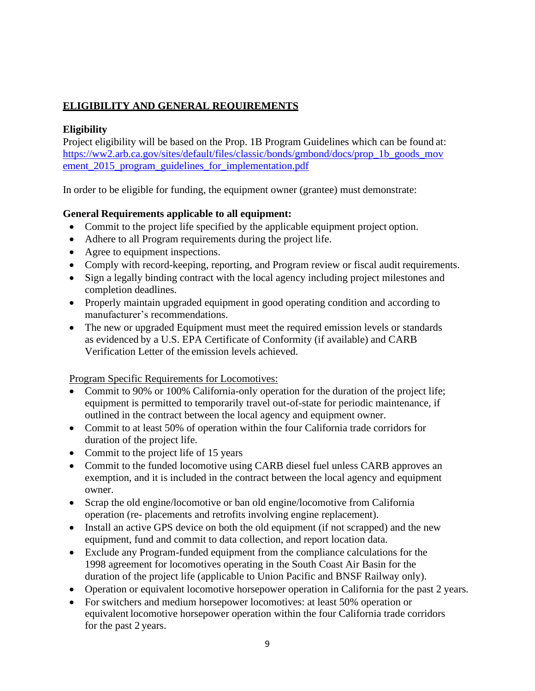# **ELIGIBILITY AND GENERAL REQUIREMENTS**

## **Eligibility**

Project eligibility will be based on the Prop. 1B Program Guidelines which can be found at: [https://ww2.arb.ca.gov/sites/default/files/classic/bonds/gmbond/docs/prop\\_1b\\_goods\\_mov](https://ww2.arb.ca.gov/sites/default/files/classic/bonds/gmbond/docs/prop_1b_goods_movement_2015_program_guidelines_for_implementation.pdf) [ement\\_2015\\_program\\_guidelines\\_for\\_implementation.pdf](https://ww2.arb.ca.gov/sites/default/files/classic/bonds/gmbond/docs/prop_1b_goods_movement_2015_program_guidelines_for_implementation.pdf)

In order to be eligible for funding, the equipment owner (grantee) must demonstrate:

# **General Requirements applicable to all equipment:**

- Commit to the project life specified by the applicable equipment project option.
- Adhere to all Program requirements during the project life.
- Agree to equipment inspections.
- Comply with record-keeping, reporting, and Program review or fiscal audit requirements.
- Sign a legally binding contract with the local agency including project milestones and completion deadlines.
- Properly maintain upgraded equipment in good operating condition and according to manufacturer's recommendations.
- The new or upgraded Equipment must meet the required emission levels or standards as evidenced by a U.S. EPA Certificate of Conformity (if available) and CARB Verification Letter of the emission levels achieved.

Program Specific Requirements for Locomotives:

- Commit to 90% or 100% California-only operation for the duration of the project life; equipment is permitted to temporarily travel out-of-state for periodic maintenance, if outlined in the contract between the local agency and equipment owner.
- Commit to at least 50% of operation within the four California trade corridors for duration of the project life.
- Commit to the project life of 15 years
- Commit to the funded locomotive using CARB diesel fuel unless CARB approves an exemption, and it is included in the contract between the local agency and equipment owner.
- Scrap the old engine/locomotive or ban old engine/locomotive from California operation (re- placements and retrofits involving engine replacement).
- Install an active GPS device on both the old equipment (if not scrapped) and the new equipment, fund and commit to data collection, and report location data.
- Exclude any Program-funded equipment from the compliance calculations for the 1998 agreement for locomotives operating in the South Coast Air Basin for the duration of the project life (applicable to Union Pacific and BNSF Railway only).
- Operation or equivalent locomotive horsepower operation in California for the past 2 years.
- For switchers and medium horsepower locomotives: at least 50% operation or equivalent locomotive horsepower operation within the four California trade corridors for the past 2 years.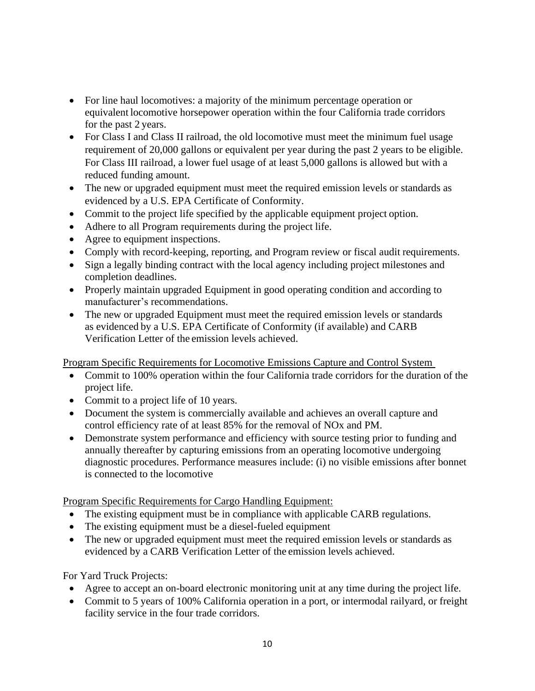- For line haul locomotives: a majority of the minimum percentage operation or equivalent locomotive horsepower operation within the four California trade corridors for the past 2 years.
- For Class I and Class II railroad, the old locomotive must meet the minimum fuel usage requirement of 20,000 gallons or equivalent per year during the past 2 years to be eligible. For Class III railroad, a lower fuel usage of at least 5,000 gallons is allowed but with a reduced funding amount.
- The new or upgraded equipment must meet the required emission levels or standards as evidenced by a U.S. EPA Certificate of Conformity.
- Commit to the project life specified by the applicable equipment project option.
- Adhere to all Program requirements during the project life.
- Agree to equipment inspections.
- Comply with record-keeping, reporting, and Program review or fiscal audit requirements.
- Sign a legally binding contract with the local agency including project milestones and completion deadlines.
- Properly maintain upgraded Equipment in good operating condition and according to manufacturer's recommendations.
- The new or upgraded Equipment must meet the required emission levels or standards as evidenced by a U.S. EPA Certificate of Conformity (if available) and CARB Verification Letter of the emission levels achieved.

Program Specific Requirements for Locomotive Emissions Capture and Control System

- Commit to 100% operation within the four California trade corridors for the duration of the project life.
- Commit to a project life of 10 years.
- Document the system is commercially available and achieves an overall capture and control efficiency rate of at least 85% for the removal of NOx and PM.
- Demonstrate system performance and efficiency with source testing prior to funding and annually thereafter by capturing emissions from an operating locomotive undergoing diagnostic procedures. Performance measures include: (i) no visible emissions after bonnet is connected to the locomotive

Program Specific Requirements for Cargo Handling Equipment:

- The existing equipment must be in compliance with applicable CARB regulations.
- The existing equipment must be a diesel-fueled equipment
- The new or upgraded equipment must meet the required emission levels or standards as evidenced by a CARB Verification Letter of the emission levels achieved.

For Yard Truck Projects:

- Agree to accept an on-board electronic monitoring unit at any time during the project life.
- Commit to 5 years of 100% California operation in a port, or intermodal railyard, or freight facility service in the four trade corridors.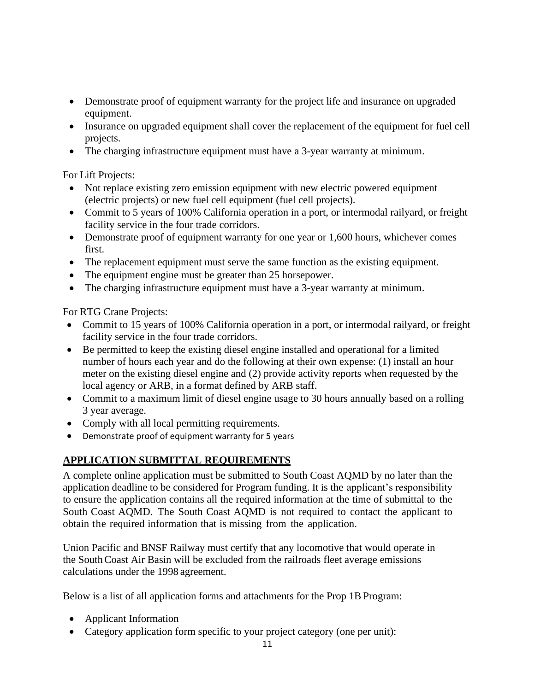- Demonstrate proof of equipment warranty for the project life and insurance on upgraded equipment.
- Insurance on upgraded equipment shall cover the replacement of the equipment for fuel cell projects.
- The charging infrastructure equipment must have a 3-year warranty at minimum.

For Lift Projects:

- Not replace existing zero emission equipment with new electric powered equipment (electric projects) or new fuel cell equipment (fuel cell projects).
- Commit to 5 years of 100% California operation in a port, or intermodal railyard, or freight facility service in the four trade corridors.
- Demonstrate proof of equipment warranty for one year or 1,600 hours, whichever comes first.
- The replacement equipment must serve the same function as the existing equipment.
- The equipment engine must be greater than 25 horsepower.
- The charging infrastructure equipment must have a 3-year warranty at minimum.

For RTG Crane Projects:

- Commit to 15 years of 100% California operation in a port, or intermodal railyard, or freight facility service in the four trade corridors.
- Be permitted to keep the existing diesel engine installed and operational for a limited number of hours each year and do the following at their own expense: (1) install an hour meter on the existing diesel engine and (2) provide activity reports when requested by the local agency or ARB, in a format defined by ARB staff.
- Commit to a maximum limit of diesel engine usage to 30 hours annually based on a rolling 3 year average.
- Comply with all local permitting requirements.
- Demonstrate proof of equipment warranty for 5 years

# **APPLICATION SUBMITTAL REQUIREMENTS**

A complete online application must be submitted to South Coast AQMD by no later than the application deadline to be considered for Program funding. It is the applicant's responsibility to ensure the application contains all the required information at the time of submittal to the South Coast AQMD. The South Coast AQMD is not required to contact the applicant to obtain the required information that is missing from the application.

Union Pacific and BNSF Railway must certify that any locomotive that would operate in the SouthCoast Air Basin will be excluded from the railroads fleet average emissions calculations under the 1998 agreement.

Below is a list of all application forms and attachments for the Prop 1B Program:

- Applicant Information
- Category application form specific to your project category (one per unit):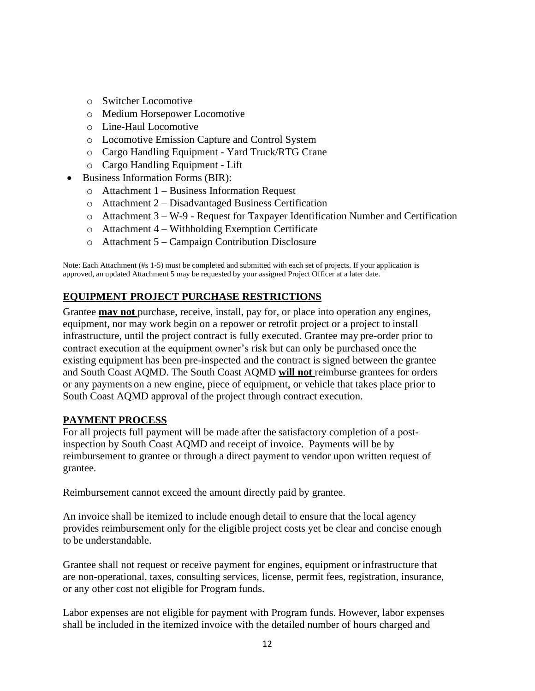- o Switcher Locomotive
- o Medium Horsepower Locomotive
- o Line-Haul Locomotive
- o Locomotive Emission Capture and Control System
- o Cargo Handling Equipment Yard Truck/RTG Crane
- o Cargo Handling Equipment Lift
- Business Information Forms (BIR):
	- o Attachment 1 Business Information Request
	- o Attachment 2 Disadvantaged Business Certification
	- o Attachment 3 W-9 Request for Taxpayer Identification Number and Certification
	- o Attachment 4 Withholding Exemption Certificate
	- o Attachment 5 Campaign Contribution Disclosure

Note: Each Attachment (#s 1-5) must be completed and submitted with each set of projects. If your application is approved, an updated Attachment 5 may be requested by your assigned Project Officer at a later date.

#### **EQUIPMENT PROJECT PURCHASE RESTRICTIONS**

Grantee **may not** purchase, receive, install, pay for, or place into operation any engines, equipment, nor may work begin on a repower or retrofit project or a project to install infrastructure, until the project contract is fully executed. Grantee may pre-order prior to contract execution at the equipment owner's risk but can only be purchased once the existing equipment has been pre-inspected and the contract is signed between the grantee and South Coast AQMD. The South Coast AQMD **will not** reimburse grantees for orders or any payments on a new engine, piece of equipment, or vehicle that takes place prior to South Coast AQMD approval of the project through contract execution.

#### **PAYMENT PROCESS**

For all projects full payment will be made after the satisfactory completion of a postinspection by South Coast AQMD and receipt of invoice. Payments will be by reimbursement to grantee or through a direct payment to vendor upon written request of grantee.

Reimbursement cannot exceed the amount directly paid by grantee.

An invoice shall be itemized to include enough detail to ensure that the local agency provides reimbursement only for the eligible project costs yet be clear and concise enough to be understandable.

Grantee shall not request or receive payment for engines, equipment or infrastructure that are non-operational, taxes, consulting services, license, permit fees, registration, insurance, or any other cost not eligible for Program funds.

Labor expenses are not eligible for payment with Program funds. However, labor expenses shall be included in the itemized invoice with the detailed number of hours charged and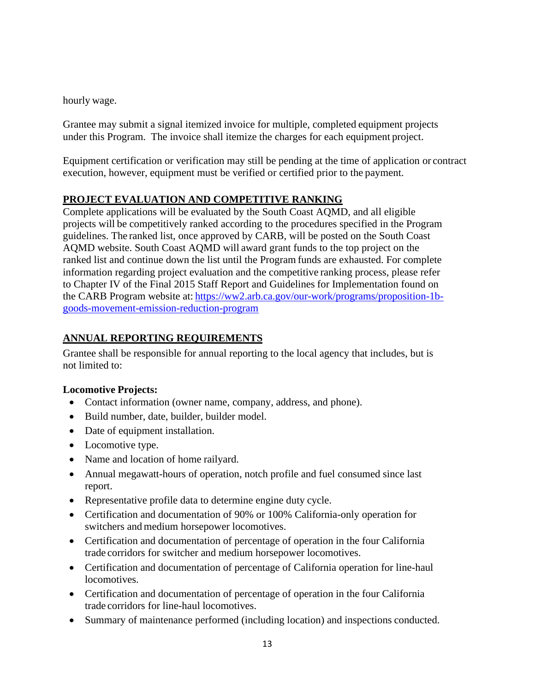hourly wage.

Grantee may submit a signal itemized invoice for multiple, completed equipment projects under this Program. The invoice shall itemize the charges for each equipment project.

Equipment certification or verification may still be pending at the time of application or contract execution, however, equipment must be verified or certified prior to the payment.

# **PROJECT EVALUATION AND COMPETITIVE RANKING**

Complete applications will be evaluated by the South Coast AQMD, and all eligible projects will be competitively ranked according to the procedures specified in the Program guidelines. The ranked list, once approved by CARB, will be posted on the South Coast AQMD website. South Coast AQMD will award grant funds to the top project on the ranked list and continue down the list until the Program funds are exhausted. For complete information regarding project evaluation and the competitive ranking process, please refer to Chapter IV of the Final 2015 Staff Report and Guidelines for Implementation found on the CARB Program website at: [https://ww2.arb.ca.gov/our-work/programs/proposition-1b](https://ww2.arb.ca.gov/our-work/programs/proposition-1b-goods-movement-emission-reduction-program)[goods-movement-emission-reduction-program](https://ww2.arb.ca.gov/our-work/programs/proposition-1b-goods-movement-emission-reduction-program)

## **ANNUAL REPORTING REQUIREMENTS**

Grantee shall be responsible for annual reporting to the local agency that includes, but is not limited to:

#### **Locomotive Projects:**

- Contact information (owner name, company, address, and phone).
- Build number, date, builder, builder model.
- Date of equipment installation.
- Locomotive type.
- Name and location of home railyard.
- Annual megawatt-hours of operation, notch profile and fuel consumed since last report.
- Representative profile data to determine engine duty cycle.
- Certification and documentation of 90% or 100% California-only operation for switchers and medium horsepower locomotives.
- Certification and documentation of percentage of operation in the four California trade corridors for switcher and medium horsepower locomotives.
- Certification and documentation of percentage of California operation for line-haul locomotives.
- Certification and documentation of percentage of operation in the four California trade corridors for line-haul locomotives.
- Summary of maintenance performed (including location) and inspections conducted.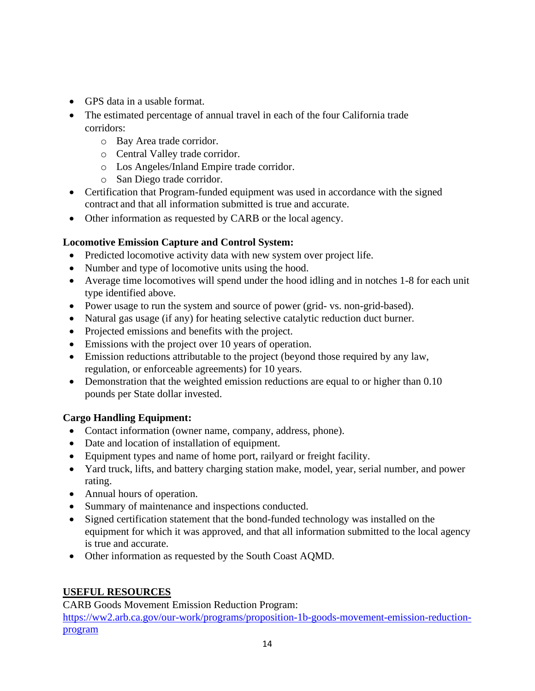- GPS data in a usable format.
- The estimated percentage of annual travel in each of the four California trade corridors:
	- o Bay Area trade corridor.
	- o Central Valley trade corridor.
	- o Los Angeles/Inland Empire trade corridor.
	- o San Diego trade corridor.
- Certification that Program-funded equipment was used in accordance with the signed contract and that all information submitted is true and accurate.
- Other information as requested by CARB or the local agency.

## **Locomotive Emission Capture and Control System:**

- Predicted locomotive activity data with new system over project life.
- Number and type of locomotive units using the hood.
- Average time locomotives will spend under the hood idling and in notches 1-8 for each unit type identified above.
- Power usage to run the system and source of power (grid- vs. non-grid-based).
- Natural gas usage (if any) for heating selective catalytic reduction duct burner.
- Projected emissions and benefits with the project.
- Emissions with the project over 10 years of operation.
- Emission reductions attributable to the project (beyond those required by any law, regulation, or enforceable agreements) for 10 years.
- Demonstration that the weighted emission reductions are equal to or higher than 0.10 pounds per State dollar invested.

# **Cargo Handling Equipment:**

- Contact information (owner name, company, address, phone).
- Date and location of installation of equipment.
- Equipment types and name of home port, railyard or freight facility.
- Yard truck, lifts, and battery charging station make, model, year, serial number, and power rating.
- Annual hours of operation.
- Summary of maintenance and inspections conducted.
- Signed certification statement that the bond-funded technology was installed on the equipment for which it was approved, and that all information submitted to the local agency is true and accurate.
- Other information as requested by the South Coast AQMD.

# **USEFUL RESOURCES**

CARB Goods Movement Emission Reduction Program:

[https://ww2.arb.ca.gov/our-work/programs/proposition-1b-goods-movement-emission-reduction](https://ww2.arb.ca.gov/our-work/programs/proposition-1b-goods-movement-emission-reduction-program)[program](https://ww2.arb.ca.gov/our-work/programs/proposition-1b-goods-movement-emission-reduction-program)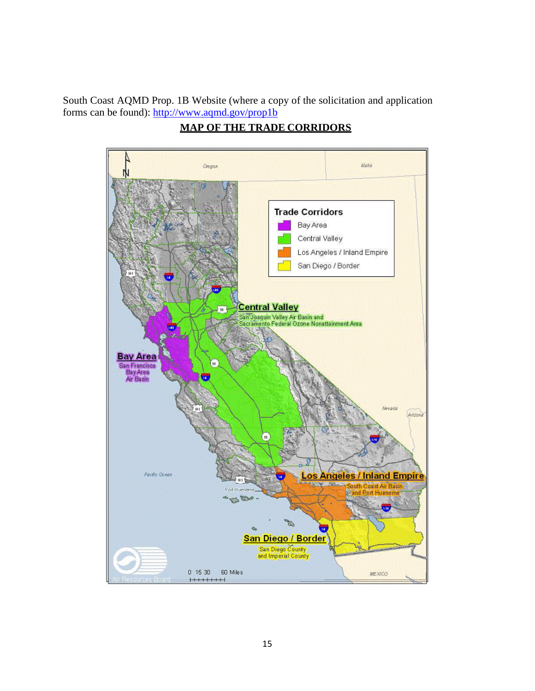South Coast AQMD Prop. 1B Website (where a copy of the solicitation and application forms can be found): <http://www.aqmd.gov/prop1b>



# **MAP OF THE TRADE CORRIDORS**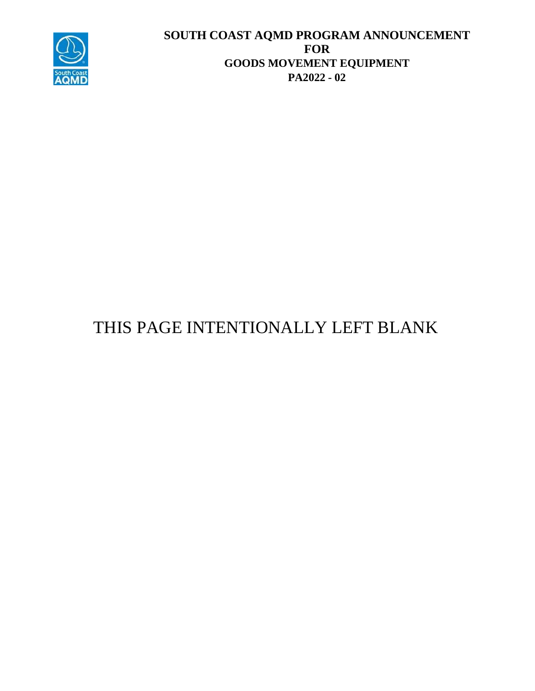

# THIS PAGE INTENTIONALLY LEFT BLANK